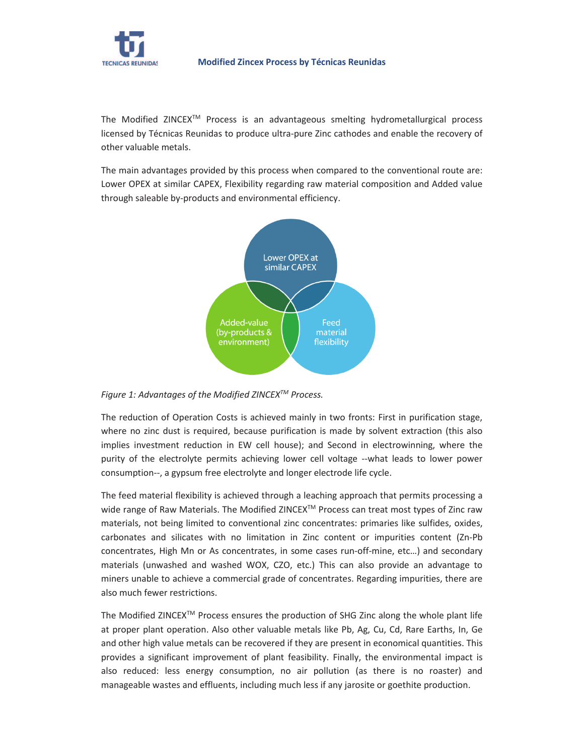

The Modified ZINCEX<sup>™</sup> Process is an advantageous smelting hydrometallurgical process licensed by Técnicas Reunidas to produce ultra-pure Zinc cathodes and enable the recovery of other valuable metals.

The main advantages provided by this process when compared to the conventional route are: Lower OPEX at similar CAPEX, Flexibility regarding raw material composition and Added value through saleable by-products and environmental efficiency.



# *Figure 1: Advantages of the Modified ZINCEXTM Process.*

The reduction of Operation Costs is achieved mainly in two fronts: First in purification stage, where no zinc dust is required, because purification is made by solvent extraction (this also implies investment reduction in EW cell house); and Second in electrowinning, where the purity of the electrolyte permits achieving lower cell voltage --what leads to lower power consumption--, a gypsum free electrolyte and longer electrode life cycle.

The feed material flexibility is achieved through a leaching approach that permits processing a wide range of Raw Materials. The Modified ZINCEX™ Process can treat most types of Zinc raw materials, not being limited to conventional zinc concentrates: primaries like sulfides, oxides, carbonates and silicates with no limitation in Zinc content or impurities content (Zn-Pb concentrates, High Mn or As concentrates, in some cases run-off-mine, etc…) and secondary materials (unwashed and washed WOX, CZO, etc.) This can also provide an advantage to miners unable to achieve a commercial grade of concentrates. Regarding impurities, there are also much fewer restrictions.

The Modified ZINCEX<sup>™</sup> Process ensures the production of SHG Zinc along the whole plant life at proper plant operation. Also other valuable metals like Pb, Ag, Cu, Cd, Rare Earths, In, Ge and other high value metals can be recovered if they are present in economical quantities. This provides a significant improvement of plant feasibility. Finally, the environmental impact is also reduced: less energy consumption, no air pollution (as there is no roaster) and manageable wastes and effluents, including much less if any jarosite or goethite production.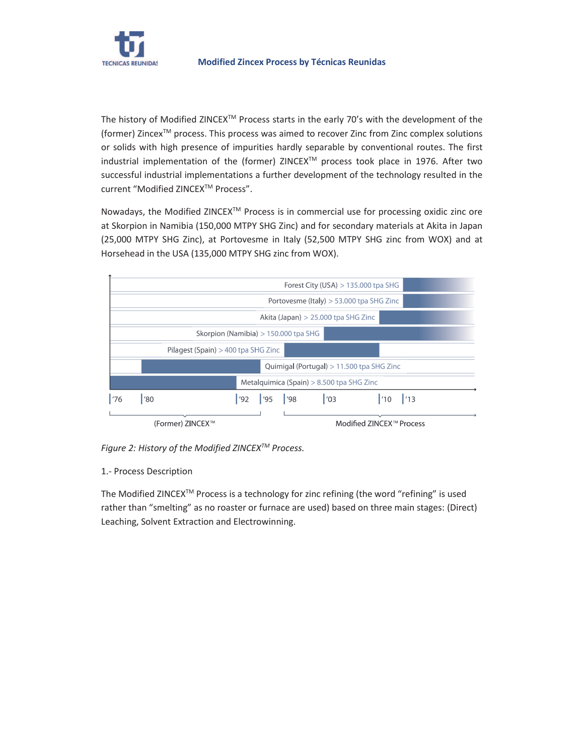

The history of Modified ZINCEX<sup>™</sup> Process starts in the early 70's with the development of the (former) Zincex<sup>TM</sup> process. This process was aimed to recover Zinc from Zinc complex solutions or solids with high presence of impurities hardly separable by conventional routes. The first industrial implementation of the (former) ZINCEXTM process took place in 1976. After two successful industrial implementations a further development of the technology resulted in the current "Modified ZINCEXTM Process".

Nowadays, the Modified ZINCEX<sup>TM</sup> Process is in commercial use for processing oxidic zinc ore at Skorpion in Namibia (150,000 MTPY SHG Zinc) and for secondary materials at Akita in Japan (25,000 MTPY SHG Zinc), at Portovesme in Italy (52,500 MTPY SHG zinc from WOX) and at Horsehead in the USA (135,000 MTPY SHG zinc from WOX).



*Figure 2: History of the Modified ZINCEXTM Process.* 

# 1.- Process Description

The Modified ZINCEX<sup>™</sup> Process is a technology for zinc refining (the word "refining" is used rather than "smelting" as no roaster or furnace are used) based on three main stages: (Direct) Leaching, Solvent Extraction and Electrowinning.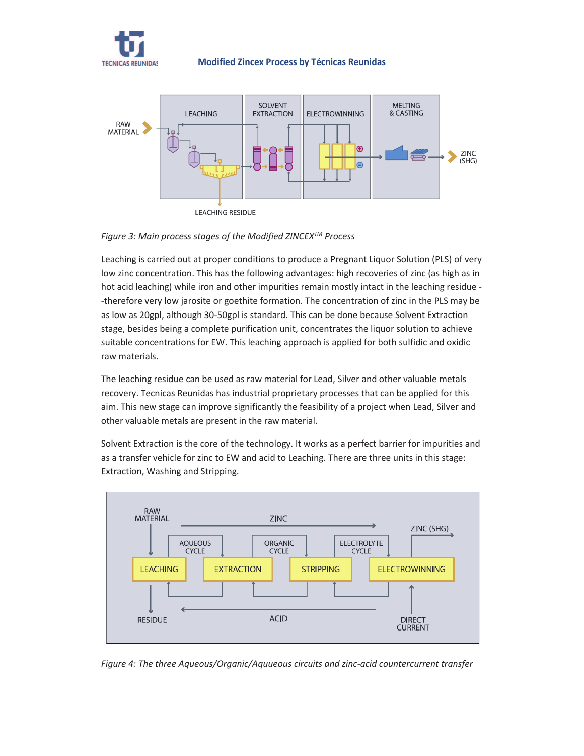



*Figure 3: Main process stages of the Modified ZINCEXTM Process* 

Leaching is carried out at proper conditions to produce a Pregnant Liquor Solution (PLS) of very low zinc concentration. This has the following advantages: high recoveries of zinc (as high as in hot acid leaching) while iron and other impurities remain mostly intact in the leaching residue - -therefore very low jarosite or goethite formation. The concentration of zinc in the PLS may be as low as 20gpl, although 30-50gpl is standard. This can be done because Solvent Extraction stage, besides being a complete purification unit, concentrates the liquor solution to achieve suitable concentrations for EW. This leaching approach is applied for both sulfidic and oxidic raw materials.

The leaching residue can be used as raw material for Lead, Silver and other valuable metals recovery. Tecnicas Reunidas has industrial proprietary processes that can be applied for this aim. This new stage can improve significantly the feasibility of a project when Lead, Silver and other valuable metals are present in the raw material.

Solvent Extraction is the core of the technology. It works as a perfect barrier for impurities and as a transfer vehicle for zinc to EW and acid to Leaching. There are three units in this stage: Extraction, Washing and Stripping.



*Figure 4: The three Aqueous/Organic/Aquueous circuits and zinc-acid countercurrent transfer*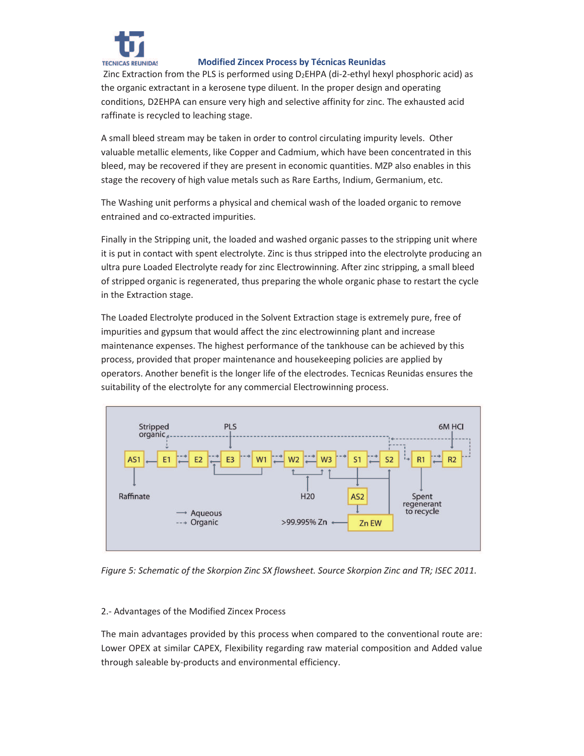

Zinc Extraction from the PLS is performed using D<sub>2</sub>EHPA (di-2-ethyl hexyl phosphoric acid) as the organic extractant in a kerosene type diluent. In the proper design and operating conditions, D2EHPA can ensure very high and selective affinity for zinc. The exhausted acid raffinate is recycled to leaching stage.

A small bleed stream may be taken in order to control circulating impurity levels. Other valuable metallic elements, like Copper and Cadmium, which have been concentrated in this bleed, may be recovered if they are present in economic quantities. MZP also enables in this stage the recovery of high value metals such as Rare Earths, Indium, Germanium, etc.

The Washing unit performs a physical and chemical wash of the loaded organic to remove entrained and co-extracted impurities.

Finally in the Stripping unit, the loaded and washed organic passes to the stripping unit where it is put in contact with spent electrolyte. Zinc is thus stripped into the electrolyte producing an ultra pure Loaded Electrolyte ready for zinc Electrowinning. After zinc stripping, a small bleed of stripped organic is regenerated, thus preparing the whole organic phase to restart the cycle in the Extraction stage.

The Loaded Electrolyte produced in the Solvent Extraction stage is extremely pure, free of impurities and gypsum that would affect the zinc electrowinning plant and increase maintenance expenses. The highest performance of the tankhouse can be achieved by this process, provided that proper maintenance and housekeeping policies are applied by operators. Another benefit is the longer life of the electrodes. Tecnicas Reunidas ensures the suitability of the electrolyte for any commercial Electrowinning process.



*Figure 5: Schematic of the Skorpion Zinc SX flowsheet. Source Skorpion Zinc and TR; ISEC 2011.* 

## 2.- Advantages of the Modified Zincex Process

The main advantages provided by this process when compared to the conventional route are: Lower OPEX at similar CAPEX, Flexibility regarding raw material composition and Added value through saleable by-products and environmental efficiency.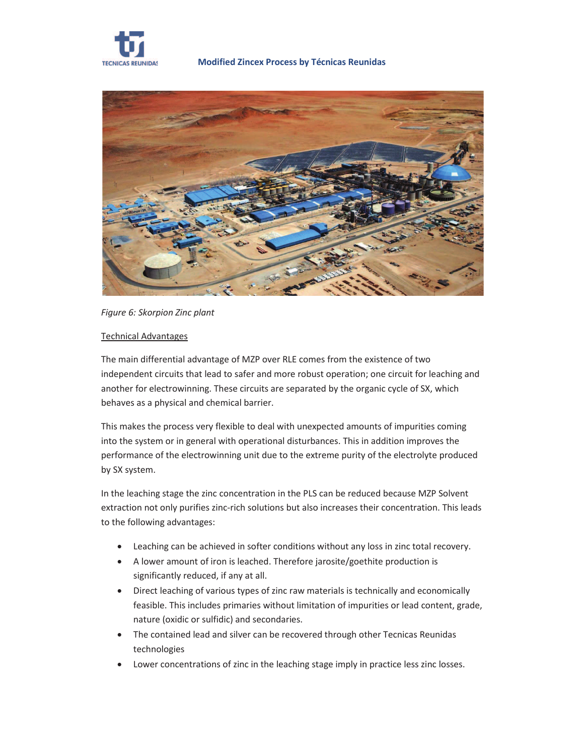



*Figure 6: Skorpion Zinc plant* 

## Technical Advantages

The main differential advantage of MZP over RLE comes from the existence of two independent circuits that lead to safer and more robust operation; one circuit for leaching and another for electrowinning. These circuits are separated by the organic cycle of SX, which behaves as a physical and chemical barrier.

This makes the process very flexible to deal with unexpected amounts of impurities coming into the system or in general with operational disturbances. This in addition improves the performance of the electrowinning unit due to the extreme purity of the electrolyte produced by SX system.

In the leaching stage the zinc concentration in the PLS can be reduced because MZP Solvent extraction not only purifies zinc-rich solutions but also increases their concentration. This leads to the following advantages:

- Leaching can be achieved in softer conditions without any loss in zinc total recovery.
- · A lower amount of iron is leached. Therefore jarosite/goethite production is significantly reduced, if any at all.
- · Direct leaching of various types of zinc raw materials is technically and economically feasible. This includes primaries without limitation of impurities or lead content, grade, nature (oxidic or sulfidic) and secondaries.
- · The contained lead and silver can be recovered through other Tecnicas Reunidas technologies
- · Lower concentrations of zinc in the leaching stage imply in practice less zinc losses.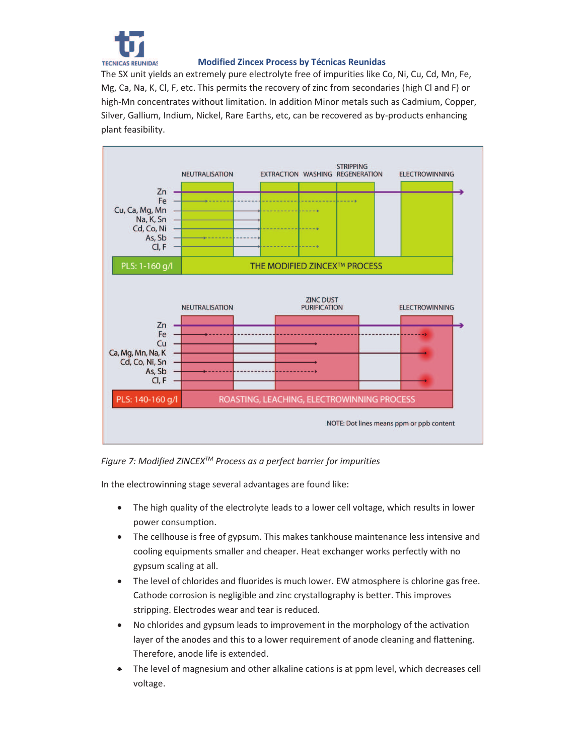

The SX unit yields an extremely pure electrolyte free of impurities like Co, Ni, Cu, Cd, Mn, Fe, Mg, Ca, Na, K, Cl, F, etc. This permits the recovery of zinc from secondaries (high Cl and F) or high-Mn concentrates without limitation. In addition Minor metals such as Cadmium, Copper, Silver, Gallium, Indium, Nickel, Rare Earths, etc, can be recovered as by-products enhancing plant feasibility.



*Figure 7: Modified ZINCEXTM Process as a perfect barrier for impurities* 

In the electrowinning stage several advantages are found like:

- · The high quality of the electrolyte leads to a lower cell voltage, which results in lower power consumption.
- The cellhouse is free of gypsum. This makes tankhouse maintenance less intensive and cooling equipments smaller and cheaper. Heat exchanger works perfectly with no gypsum scaling at all.
- The level of chlorides and fluorides is much lower. EW atmosphere is chlorine gas free. Cathode corrosion is negligible and zinc crystallography is better. This improves stripping. Electrodes wear and tear is reduced.
- · No chlorides and gypsum leads to improvement in the morphology of the activation layer of the anodes and this to a lower requirement of anode cleaning and flattening. Therefore, anode life is extended.
- · The level of magnesium and other alkaline cations is at ppm level, which decreases cell voltage.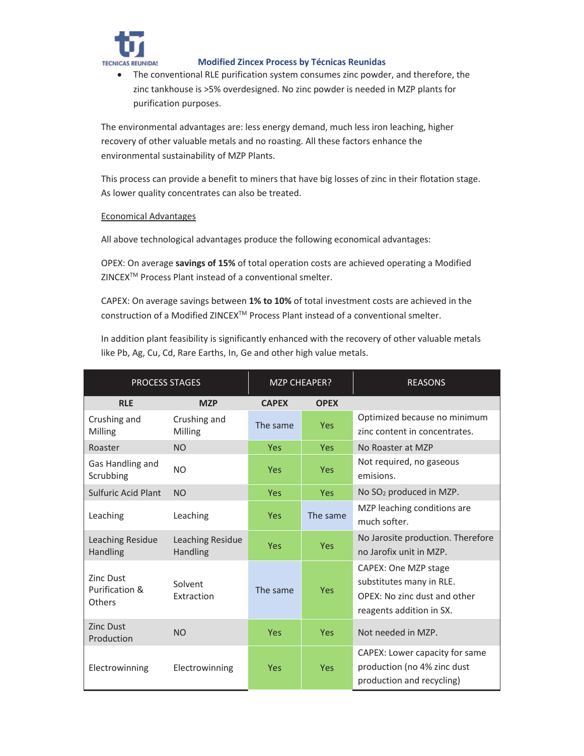

· The conventional RLE purification system consumes zinc powder, and therefore, the zinc tankhouse is >5% overdesigned. No zinc powder is needed in MZP plants for purification purposes.

The environmental advantages are: less energy demand, much less iron leaching, higher recovery of other valuable metals and no roasting. All these factors enhance the environmental sustainability of MZP Plants.

This process can provide a benefit to miners that have big losses of zinc in their flotation stage. As lower quality concentrates can also be treated.

## Economical Advantages

All above technological advantages produce the following economical advantages:

OPEX: On average **savings of 15%** of total operation costs are achieved operating a Modified ZINCEXTM Process Plant instead of a conventional smelter.

CAPEX: On average savings between **1% to 10%** of total investment costs are achieved in the construction of a Modified ZINCEX<sup>™</sup> Process Plant instead of a conventional smelter.

In addition plant feasibility is significantly enhanced with the recovery of other valuable metals like Pb, Ag, Cu, Cd, Rare Earths, In, Ge and other high value metals.

| <b>PROCESS STAGES</b>                        |                                     | <b>MZP CHEAPER?</b> |             | <b>REASONS</b>                                                                                               |
|----------------------------------------------|-------------------------------------|---------------------|-------------|--------------------------------------------------------------------------------------------------------------|
| <b>RLE</b>                                   | <b>MZP</b>                          | <b>CAPEX</b>        | <b>OPEX</b> |                                                                                                              |
| Crushing and<br>Milling                      | Crushing and<br>Milling             | The same            | <b>Yes</b>  | Optimized because no minimum<br>zinc content in concentrates.                                                |
| Roaster                                      | <b>NO</b>                           | Yes                 | <b>Yes</b>  | No Roaster at MZP                                                                                            |
| Gas Handling and<br>Scrubbing                | <b>NO</b>                           | <b>Yes</b>          | <b>Yes</b>  | Not required, no gaseous<br>emisions.                                                                        |
| <b>Sulfuric Acid Plant</b>                   | <b>NO</b>                           | <b>Yes</b>          | <b>Yes</b>  | No SO <sub>2</sub> produced in MZP.                                                                          |
| Leaching                                     | Leaching                            | <b>Yes</b>          | The same    | MZP leaching conditions are<br>much softer.                                                                  |
| Leaching Residue<br><b>Handling</b>          | Leaching Residue<br><b>Handling</b> | Yes                 | Yes         | No Jarosite production. Therefore<br>no Jarofix unit in MZP.                                                 |
| <b>Zinc Dust</b><br>Purification &<br>Others | Solvent<br>Extraction               | The same            | <b>Yes</b>  | CAPEX: One MZP stage<br>substitutes many in RLE.<br>OPEX: No zinc dust and other<br>reagents addition in SX. |
| <b>Zinc Dust</b><br>Production               | <b>NO</b>                           | Yes                 | <b>Yes</b>  | Not needed in MZP.                                                                                           |
| Electrowinning                               | Electrowinning                      | <b>Yes</b>          | <b>Yes</b>  | CAPEX: Lower capacity for same<br>production (no 4% zinc dust<br>production and recycling)                   |